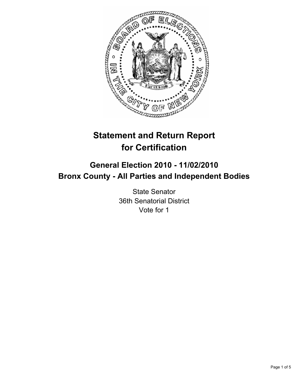

# **Statement and Return Report for Certification**

## **General Election 2010 - 11/02/2010 Bronx County - All Parties and Independent Bodies**

State Senator 36th Senatorial District Vote for 1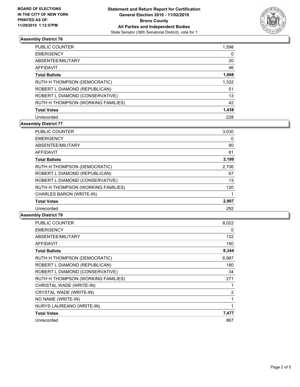

### **Assembly District 76**

| <b>PUBLIC COUNTER</b>              | 1,598 |
|------------------------------------|-------|
| <b>EMERGENCY</b>                   | 0     |
| ABSENTEE/MILITARY                  | 20    |
| AFFIDAVIT                          | 46    |
| <b>Total Ballots</b>               | 1,666 |
| RUTH H THOMPSON (DEMOCRATIC)       | 1,332 |
| ROBERT L DIAMOND (REPUBLICAN)      | 51    |
| ROBERT L DIAMOND (CONSERVATIVE)    | 13    |
| RUTH H THOMPSON (WORKING FAMILIES) | 42    |
| <b>Total Votes</b>                 | 1,438 |
| Unrecorded                         | 228   |

### **Assembly District 77**

| <b>PUBLIC COUNTER</b>              | 3,030 |
|------------------------------------|-------|
| <b>EMERGENCY</b>                   | 0     |
| ABSENTEE/MILITARY                  | 80    |
| <b>AFFIDAVIT</b>                   | 81    |
| <b>Total Ballots</b>               | 3,199 |
| RUTH H THOMPSON (DEMOCRATIC)       | 2,706 |
| ROBERT L DIAMOND (REPUBLICAN)      | 67    |
| ROBERT L DIAMOND (CONSERVATIVE)    | 13    |
| RUTH H THOMPSON (WORKING FAMILIES) | 120   |
| CHARLES BARON (WRITE-IN)           |       |
| <b>Total Votes</b>                 | 2,907 |
| Unrecorded                         | 292   |

### **Assembly District 79**

| <b>PUBLIC COUNTER</b>              | 8,022          |
|------------------------------------|----------------|
| <b>EMERGENCY</b>                   | 0              |
| <b>ABSENTEE/MILITARY</b>           | 132            |
| <b>AFFIDAVIT</b>                   | 180            |
| <b>Total Ballots</b>               | 8,344          |
| RUTH H THOMPSON (DEMOCRATIC)       | 6,987          |
| ROBERT L DIAMOND (REPUBLICAN)      | 180            |
| ROBERT L DIAMOND (CONSERVATIVE)    | 34             |
| RUTH H THOMPSON (WORKING FAMILIES) | 271            |
| CHRISTAL WADE (WRITE-IN)           | 1              |
| CRYSTAL WADE (WRITE-IN)            | $\overline{2}$ |
| NO NAME (WRITE-IN)                 | 1              |
| NURYS LAUREANO (WRITE-IN)          | 1              |
| <b>Total Votes</b>                 | 7,477          |
| Unrecorded                         | 867            |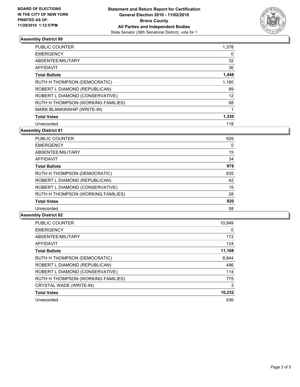

### **Assembly District 80**

| <b>PUBLIC COUNTER</b>              | 1,378 |
|------------------------------------|-------|
| <b>EMERGENCY</b>                   | 0     |
| ABSENTEE/MILITARY                  | 32    |
| AFFIDAVIT                          | 36    |
| <b>Total Ballots</b>               | 1,448 |
| RUTH H THOMPSON (DEMOCRATIC)       | 1,160 |
| ROBERT L DIAMOND (REPUBLICAN)      | 89    |
| ROBERT L DIAMOND (CONSERVATIVE)    | 12    |
| RUTH H THOMPSON (WORKING FAMILIES) | 68    |
| MARK BLANKINSHIP (WRITE-IN)        | 1     |
| <b>Total Votes</b>                 | 1,330 |
| Unrecorded                         | 118   |

**Assembly District 81**

| <b>PUBLIC COUNTER</b>              | 929 |
|------------------------------------|-----|
| <b>EMERGENCY</b>                   | 0   |
| ABSENTEE/MILITARY                  | 15  |
| AFFIDAVIT                          | 34  |
| <b>Total Ballots</b>               | 978 |
| RUTH H THOMPSON (DEMOCRATIC)       | 835 |
| ROBERT L DIAMOND (REPUBLICAN)      | 42  |
| ROBERT L DIAMOND (CONSERVATIVE)    | 15  |
| RUTH H THOMPSON (WORKING FAMILIES) | 28  |
| <b>Total Votes</b>                 | 920 |
| Unrecorded                         | 58  |

### **Assembly District 82**

| <b>PUBLIC COUNTER</b>              | 10.849 |
|------------------------------------|--------|
| <b>EMERGENCY</b>                   | 0      |
| ABSENTEE/MILITARY                  | 172    |
| <b>AFFIDAVIT</b>                   | 124    |
| <b>Total Ballots</b>               | 11,168 |
| RUTH H THOMPSON (DEMOCRATIC)       | 8.844  |
| ROBERT L DIAMOND (REPUBLICAN)      | 496    |
| ROBERT L DIAMOND (CONSERVATIVE)    | 114    |
| RUTH H THOMPSON (WORKING FAMILIES) | 775    |
| CRYSTAL WADE (WRITE-IN)            | 3      |
| <b>Total Votes</b>                 | 10,232 |
| Unrecorded                         | 936    |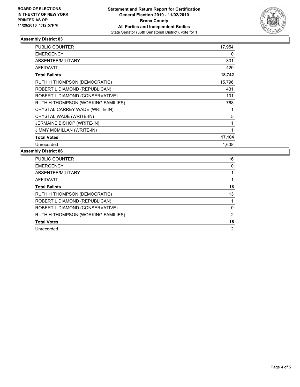

### **Assembly District 83**

| <b>PUBLIC COUNTER</b>              | 17,954 |
|------------------------------------|--------|
| <b>EMERGENCY</b>                   | 0      |
| <b>ABSENTEE/MILITARY</b>           | 331    |
| <b>AFFIDAVIT</b>                   | 420    |
| <b>Total Ballots</b>               | 18,742 |
| RUTH H THOMPSON (DEMOCRATIC)       | 15,796 |
| ROBERT L DIAMOND (REPUBLICAN)      | 431    |
| ROBERT L DIAMOND (CONSERVATIVE)    | 101    |
| RUTH H THOMPSON (WORKING FAMILIES) | 768    |
| CRYSTAL CARREY WADE (WRITE-IN)     | 1      |
| CRYSTAL WADE (WRITE-IN)            | 5      |
| JERMAINE BISHOP (WRITE-IN)         | 1      |
| <b>JIMMY MCMILLAN (WRITE-IN)</b>   | 1      |
| <b>Total Votes</b>                 | 17,104 |
| Unrecorded                         | 1,638  |

#### **Assembly District 86**

| <b>PUBLIC COUNTER</b>              | 16 |
|------------------------------------|----|
| <b>EMERGENCY</b>                   | 0  |
| ABSENTEE/MILITARY                  |    |
| AFFIDAVIT                          |    |
| <b>Total Ballots</b>               | 18 |
| RUTH H THOMPSON (DEMOCRATIC)       | 13 |
| ROBERT L DIAMOND (REPUBLICAN)      |    |
| ROBERT L DIAMOND (CONSERVATIVE)    | 0  |
| RUTH H THOMPSON (WORKING FAMILIES) | 2  |
| <b>Total Votes</b>                 | 16 |
| Unrecorded                         | 2  |